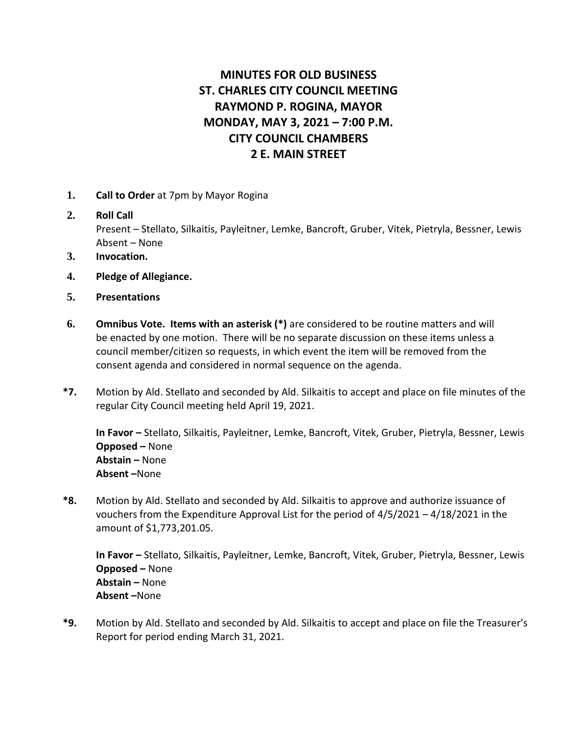# **MINUTES FOR OLD BUSINESS ST. CHARLES CITY COUNCIL MEETING RAYMOND P. ROGINA, MAYOR MONDAY, MAY 3, 2021 – 7:00 P.M. CITY COUNCIL CHAMBERS 2 E. MAIN STREET**

**1. Call to Order** at 7pm by Mayor Rogina

## **2. Roll Call**

Present – Stellato, Silkaitis, Payleitner, Lemke, Bancroft, Gruber, Vitek, Pietryla, Bessner, Lewis Absent – None

- **3. Invocation.**
- **4. Pledge of Allegiance.**
- **5. Presentations**
- **6. Omnibus Vote. Items with an asterisk (\*)** are considered to be routine matters and will be enacted by one motion. There will be no separate discussion on these items unless a council member/citizen so requests, in which event the item will be removed from the consent agenda and considered in normal sequence on the agenda.
- **\*7.** Motion by Ald. Stellato and seconded by Ald. Silkaitis to accept and place on file minutes of the regular City Council meeting held April 19, 2021.

**In Favor –** Stellato, Silkaitis, Payleitner, Lemke, Bancroft, Vitek, Gruber, Pietryla, Bessner, Lewis **Opposed –** None **Abstain –** None **Absent –**None

**\*8.** Motion by Ald. Stellato and seconded by Ald. Silkaitis to approve and authorize issuance of vouchers from the Expenditure Approval List for the period of 4/5/2021 – 4/18/2021 in the amount of \$1,773,201.05.

**In Favor –** Stellato, Silkaitis, Payleitner, Lemke, Bancroft, Vitek, Gruber, Pietryla, Bessner, Lewis **Opposed –** None **Abstain –** None **Absent –**None

**\*9.** Motion by Ald. Stellato and seconded by Ald. Silkaitis to accept and place on file the Treasurer's Report for period ending March 31, 2021.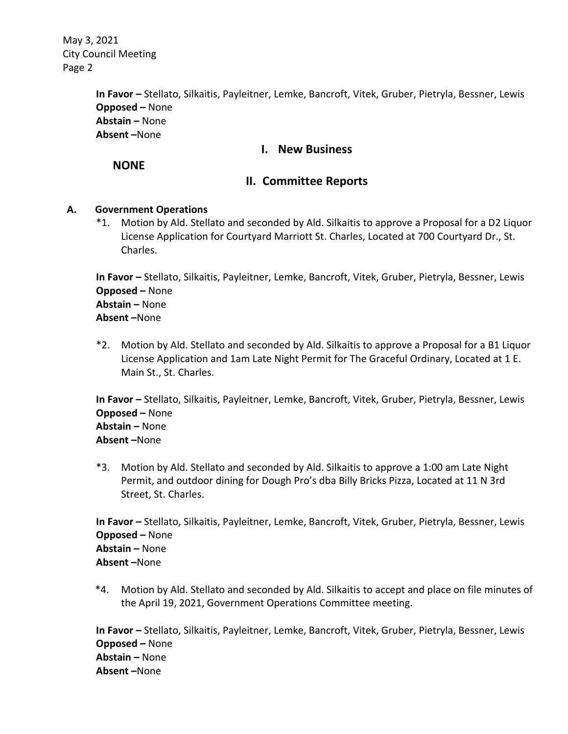> **In Favor –** Stellato, Silkaitis, Payleitner, Lemke, Bancroft, Vitek, Gruber, Pietryla, Bessner, Lewis **Opposed –** None **Abstain –** None **Absent –**None

## **I. New Business**

**NONE**

## **II. Committee Reports**

#### **A. Government Operations**

\*1. Motion by Ald. Stellato and seconded by Ald. Silkaitis to approve a Proposal for a D2 Liquor License Application for Courtyard Marriott St. Charles, Located at 700 Courtyard Dr., St. Charles.

**In Favor –** Stellato, Silkaitis, Payleitner, Lemke, Bancroft, Vitek, Gruber, Pietryla, Bessner, Lewis **Opposed –** None **Abstain –** None **Absent –**None

\*2. Motion by Ald. Stellato and seconded by Ald. Silkaitis to approve a Proposal for a B1 Liquor License Application and 1am Late Night Permit for The Graceful Ordinary, Located at 1 E. Main St., St. Charles.

**In Favor –** Stellato, Silkaitis, Payleitner, Lemke, Bancroft, Vitek, Gruber, Pietryla, Bessner, Lewis **Opposed –** None **Abstain –** None **Absent –**None

\*3. Motion by Ald. Stellato and seconded by Ald. Silkaitis to approve a 1:00 am Late Night Permit, and outdoor dining for Dough Pro's dba Billy Bricks Pizza, Located at 11 N 3rd Street, St. Charles.

**In Favor –** Stellato, Silkaitis, Payleitner, Lemke, Bancroft, Vitek, Gruber, Pietryla, Bessner, Lewis **Opposed –** None **Abstain –** None **Absent –**None

\*4. Motion by Ald. Stellato and seconded by Ald. Silkaitis to accept and place on file minutes of the April 19, 2021, Government Operations Committee meeting.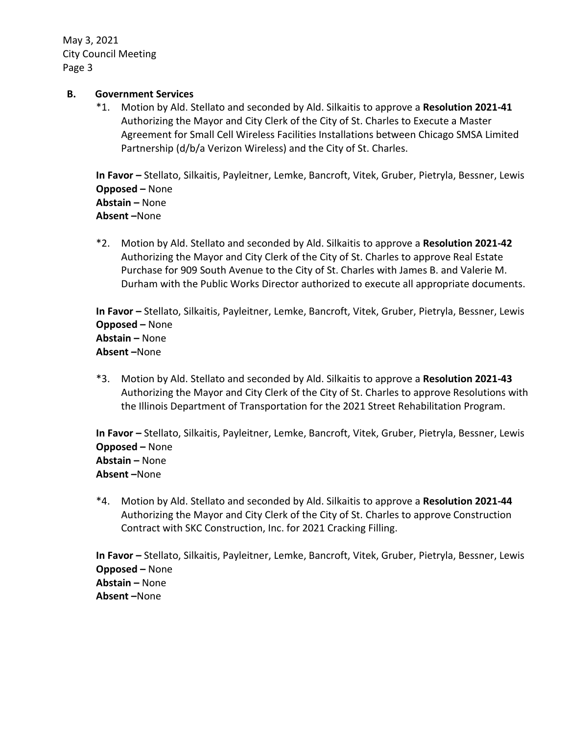#### **B. Government Services**

\*1. Motion by Ald. Stellato and seconded by Ald. Silkaitis to approve a **Resolution 2021-41** Authorizing the Mayor and City Clerk of the City of St. Charles to Execute a Master Agreement for Small Cell Wireless Facilities Installations between Chicago SMSA Limited Partnership (d/b/a Verizon Wireless) and the City of St. Charles.

**In Favor –** Stellato, Silkaitis, Payleitner, Lemke, Bancroft, Vitek, Gruber, Pietryla, Bessner, Lewis **Opposed –** None **Abstain –** None **Absent –**None

\*2. Motion by Ald. Stellato and seconded by Ald. Silkaitis to approve a **Resolution 2021-42** Authorizing the Mayor and City Clerk of the City of St. Charles to approve Real Estate Purchase for 909 South Avenue to the City of St. Charles with James B. and Valerie M. Durham with the Public Works Director authorized to execute all appropriate documents.

**In Favor –** Stellato, Silkaitis, Payleitner, Lemke, Bancroft, Vitek, Gruber, Pietryla, Bessner, Lewis **Opposed –** None **Abstain –** None **Absent –**None

\*3. Motion by Ald. Stellato and seconded by Ald. Silkaitis to approve a **Resolution 2021-43** Authorizing the Mayor and City Clerk of the City of St. Charles to approve Resolutions with the Illinois Department of Transportation for the 2021 Street Rehabilitation Program.

**In Favor –** Stellato, Silkaitis, Payleitner, Lemke, Bancroft, Vitek, Gruber, Pietryla, Bessner, Lewis **Opposed –** None **Abstain –** None **Absent –**None

\*4. Motion by Ald. Stellato and seconded by Ald. Silkaitis to approve a **Resolution 2021-44** Authorizing the Mayor and City Clerk of the City of St. Charles to approve Construction Contract with SKC Construction, Inc. for 2021 Cracking Filling.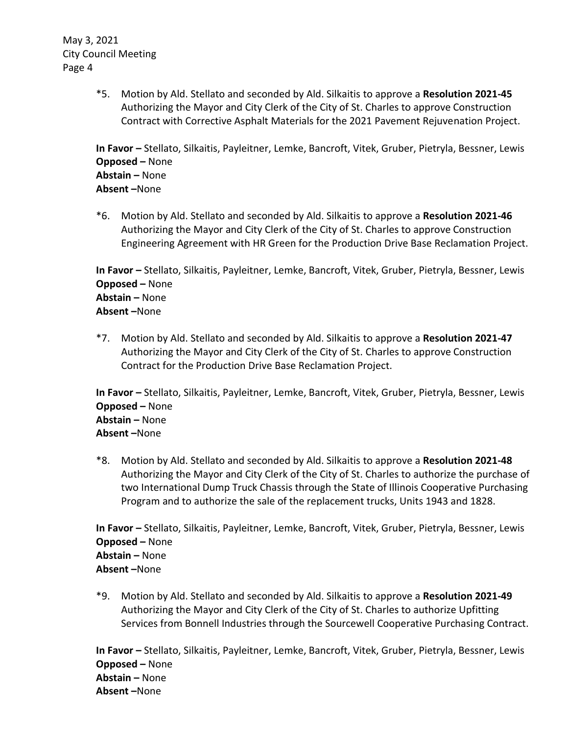> \*5. Motion by Ald. Stellato and seconded by Ald. Silkaitis to approve a **Resolution 2021-45** Authorizing the Mayor and City Clerk of the City of St. Charles to approve Construction Contract with Corrective Asphalt Materials for the 2021 Pavement Rejuvenation Project.

> **In Favor –** Stellato, Silkaitis, Payleitner, Lemke, Bancroft, Vitek, Gruber, Pietryla, Bessner, Lewis **Opposed –** None **Abstain –** None **Absent –**None

> \*6. Motion by Ald. Stellato and seconded by Ald. Silkaitis to approve a **Resolution 2021-46** Authorizing the Mayor and City Clerk of the City of St. Charles to approve Construction Engineering Agreement with HR Green for the Production Drive Base Reclamation Project.

> **In Favor –** Stellato, Silkaitis, Payleitner, Lemke, Bancroft, Vitek, Gruber, Pietryla, Bessner, Lewis **Opposed –** None **Abstain –** None **Absent –**None

\*7. Motion by Ald. Stellato and seconded by Ald. Silkaitis to approve a **Resolution 2021-47** Authorizing the Mayor and City Clerk of the City of St. Charles to approve Construction Contract for the Production Drive Base Reclamation Project.

**In Favor –** Stellato, Silkaitis, Payleitner, Lemke, Bancroft, Vitek, Gruber, Pietryla, Bessner, Lewis **Opposed –** None **Abstain –** None **Absent –**None

\*8. Motion by Ald. Stellato and seconded by Ald. Silkaitis to approve a **Resolution 2021-48** Authorizing the Mayor and City Clerk of the City of St. Charles to authorize the purchase of two International Dump Truck Chassis through the State of Illinois Cooperative Purchasing Program and to authorize the sale of the replacement trucks, Units 1943 and 1828.

**In Favor –** Stellato, Silkaitis, Payleitner, Lemke, Bancroft, Vitek, Gruber, Pietryla, Bessner, Lewis **Opposed –** None **Abstain –** None **Absent –**None

\*9. Motion by Ald. Stellato and seconded by Ald. Silkaitis to approve a **Resolution 2021-49** Authorizing the Mayor and City Clerk of the City of St. Charles to authorize Upfitting Services from Bonnell Industries through the Sourcewell Cooperative Purchasing Contract.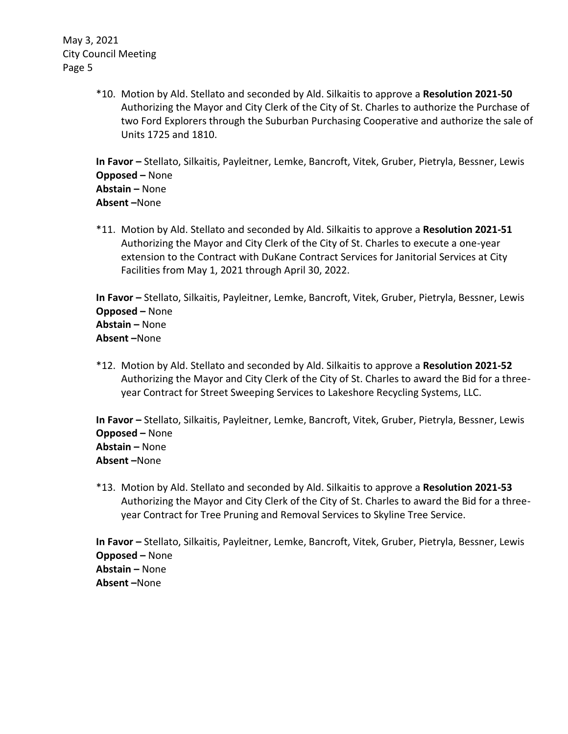> \*10. Motion by Ald. Stellato and seconded by Ald. Silkaitis to approve a **Resolution 2021-50** Authorizing the Mayor and City Clerk of the City of St. Charles to authorize the Purchase of two Ford Explorers through the Suburban Purchasing Cooperative and authorize the sale of Units 1725 and 1810.

**In Favor –** Stellato, Silkaitis, Payleitner, Lemke, Bancroft, Vitek, Gruber, Pietryla, Bessner, Lewis **Opposed –** None **Abstain –** None **Absent –**None

\*11. Motion by Ald. Stellato and seconded by Ald. Silkaitis to approve a **Resolution 2021-51** Authorizing the Mayor and City Clerk of the City of St. Charles to execute a one-year extension to the Contract with DuKane Contract Services for Janitorial Services at City Facilities from May 1, 2021 through April 30, 2022.

**In Favor –** Stellato, Silkaitis, Payleitner, Lemke, Bancroft, Vitek, Gruber, Pietryla, Bessner, Lewis **Opposed –** None **Abstain –** None **Absent –**None

\*12. Motion by Ald. Stellato and seconded by Ald. Silkaitis to approve a **Resolution 2021-52** Authorizing the Mayor and City Clerk of the City of St. Charles to award the Bid for a threeyear Contract for Street Sweeping Services to Lakeshore Recycling Systems, LLC.

```
In Favor – Stellato, Silkaitis, Payleitner, Lemke, Bancroft, Vitek, Gruber, Pietryla, Bessner, Lewis
Opposed – None
Abstain – None
Absent –None
```
\*13. Motion by Ald. Stellato and seconded by Ald. Silkaitis to approve a **Resolution 2021-53** Authorizing the Mayor and City Clerk of the City of St. Charles to award the Bid for a threeyear Contract for Tree Pruning and Removal Services to Skyline Tree Service.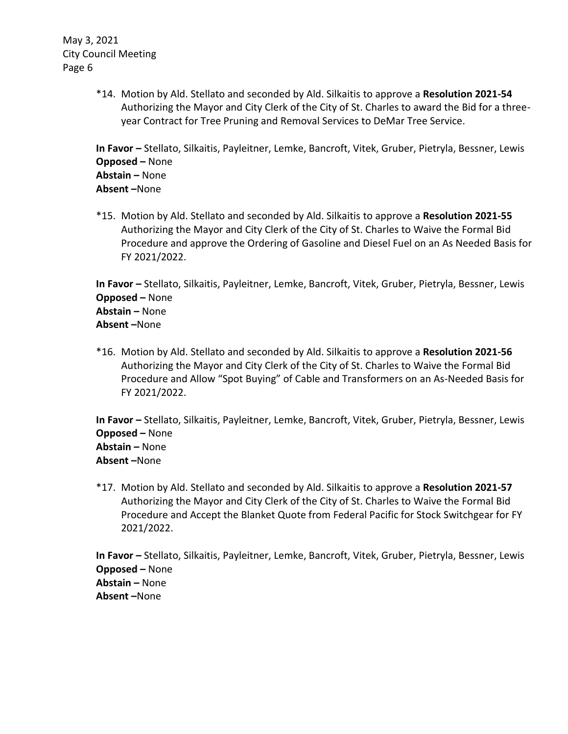> \*14. Motion by Ald. Stellato and seconded by Ald. Silkaitis to approve a **Resolution 2021-54** Authorizing the Mayor and City Clerk of the City of St. Charles to award the Bid for a threeyear Contract for Tree Pruning and Removal Services to DeMar Tree Service.

**In Favor –** Stellato, Silkaitis, Payleitner, Lemke, Bancroft, Vitek, Gruber, Pietryla, Bessner, Lewis **Opposed –** None **Abstain –** None **Absent –**None

\*15. Motion by Ald. Stellato and seconded by Ald. Silkaitis to approve a **Resolution 2021-55** Authorizing the Mayor and City Clerk of the City of St. Charles to Waive the Formal Bid Procedure and approve the Ordering of Gasoline and Diesel Fuel on an As Needed Basis for FY 2021/2022.

**In Favor –** Stellato, Silkaitis, Payleitner, Lemke, Bancroft, Vitek, Gruber, Pietryla, Bessner, Lewis **Opposed –** None **Abstain –** None **Absent –**None

\*16. Motion by Ald. Stellato and seconded by Ald. Silkaitis to approve a **Resolution 2021-56** Authorizing the Mayor and City Clerk of the City of St. Charles to Waive the Formal Bid Procedure and Allow "Spot Buying" of Cable and Transformers on an As-Needed Basis for FY 2021/2022.

**In Favor –** Stellato, Silkaitis, Payleitner, Lemke, Bancroft, Vitek, Gruber, Pietryla, Bessner, Lewis **Opposed –** None **Abstain –** None **Absent –**None

\*17. Motion by Ald. Stellato and seconded by Ald. Silkaitis to approve a **Resolution 2021-57** Authorizing the Mayor and City Clerk of the City of St. Charles to Waive the Formal Bid Procedure and Accept the Blanket Quote from Federal Pacific for Stock Switchgear for FY 2021/2022.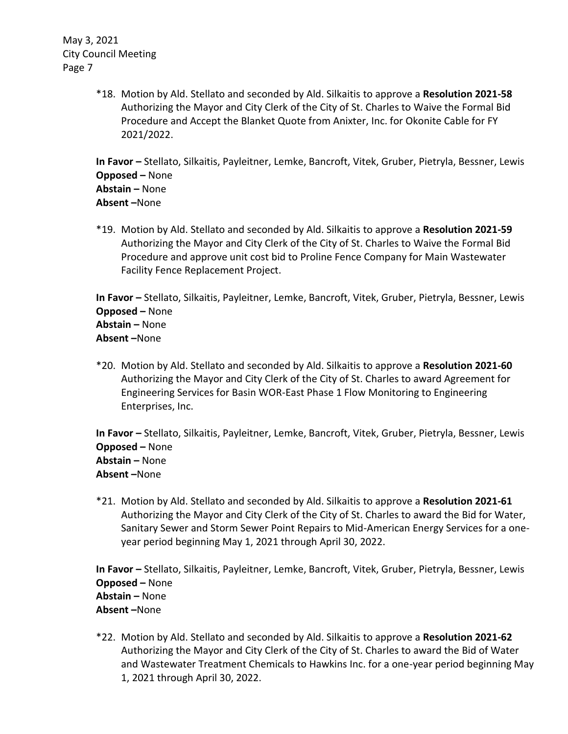> \*18. Motion by Ald. Stellato and seconded by Ald. Silkaitis to approve a **Resolution 2021-58** Authorizing the Mayor and City Clerk of the City of St. Charles to Waive the Formal Bid Procedure and Accept the Blanket Quote from Anixter, Inc. for Okonite Cable for FY 2021/2022.

**In Favor –** Stellato, Silkaitis, Payleitner, Lemke, Bancroft, Vitek, Gruber, Pietryla, Bessner, Lewis **Opposed –** None **Abstain –** None **Absent –**None

\*19. Motion by Ald. Stellato and seconded by Ald. Silkaitis to approve a **Resolution 2021-59** Authorizing the Mayor and City Clerk of the City of St. Charles to Waive the Formal Bid Procedure and approve unit cost bid to Proline Fence Company for Main Wastewater Facility Fence Replacement Project.

**In Favor –** Stellato, Silkaitis, Payleitner, Lemke, Bancroft, Vitek, Gruber, Pietryla, Bessner, Lewis **Opposed –** None **Abstain –** None **Absent –**None

\*20. Motion by Ald. Stellato and seconded by Ald. Silkaitis to approve a **Resolution 2021-60** Authorizing the Mayor and City Clerk of the City of St. Charles to award Agreement for Engineering Services for Basin WOR-East Phase 1 Flow Monitoring to Engineering Enterprises, Inc.

**In Favor –** Stellato, Silkaitis, Payleitner, Lemke, Bancroft, Vitek, Gruber, Pietryla, Bessner, Lewis **Opposed –** None **Abstain –** None **Absent –**None

\*21. Motion by Ald. Stellato and seconded by Ald. Silkaitis to approve a **Resolution 2021-61** Authorizing the Mayor and City Clerk of the City of St. Charles to award the Bid for Water, Sanitary Sewer and Storm Sewer Point Repairs to Mid-American Energy Services for a oneyear period beginning May 1, 2021 through April 30, 2022.

**In Favor –** Stellato, Silkaitis, Payleitner, Lemke, Bancroft, Vitek, Gruber, Pietryla, Bessner, Lewis **Opposed –** None **Abstain –** None **Absent –**None

\*22. Motion by Ald. Stellato and seconded by Ald. Silkaitis to approve a **Resolution 2021-62** Authorizing the Mayor and City Clerk of the City of St. Charles to award the Bid of Water and Wastewater Treatment Chemicals to Hawkins Inc. for a one-year period beginning May 1, 2021 through April 30, 2022.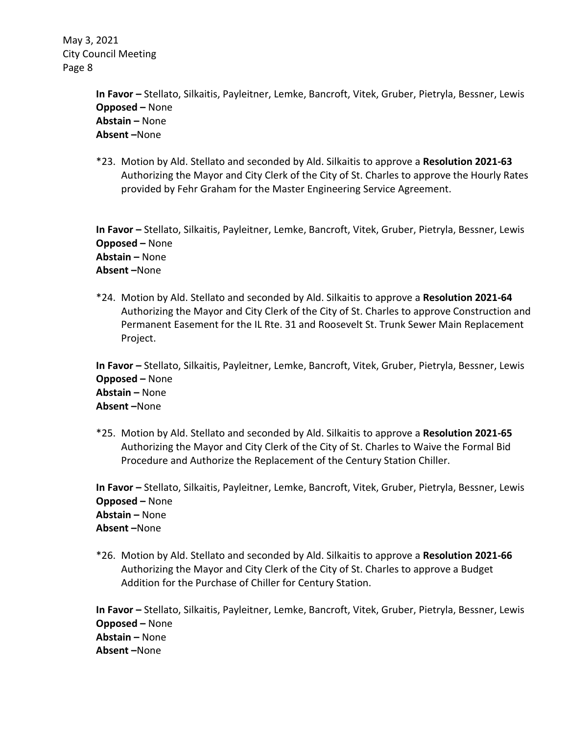> **In Favor –** Stellato, Silkaitis, Payleitner, Lemke, Bancroft, Vitek, Gruber, Pietryla, Bessner, Lewis **Opposed –** None **Abstain –** None **Absent –**None

\*23. Motion by Ald. Stellato and seconded by Ald. Silkaitis to approve a **Resolution 2021-63** Authorizing the Mayor and City Clerk of the City of St. Charles to approve the Hourly Rates provided by Fehr Graham for the Master Engineering Service Agreement.

**In Favor –** Stellato, Silkaitis, Payleitner, Lemke, Bancroft, Vitek, Gruber, Pietryla, Bessner, Lewis **Opposed –** None **Abstain –** None **Absent –**None

\*24. Motion by Ald. Stellato and seconded by Ald. Silkaitis to approve a **Resolution 2021-64** Authorizing the Mayor and City Clerk of the City of St. Charles to approve Construction and Permanent Easement for the IL Rte. 31 and Roosevelt St. Trunk Sewer Main Replacement Project.

**In Favor –** Stellato, Silkaitis, Payleitner, Lemke, Bancroft, Vitek, Gruber, Pietryla, Bessner, Lewis **Opposed –** None **Abstain –** None **Absent –**None

\*25. Motion by Ald. Stellato and seconded by Ald. Silkaitis to approve a **Resolution 2021-65** Authorizing the Mayor and City Clerk of the City of St. Charles to Waive the Formal Bid Procedure and Authorize the Replacement of the Century Station Chiller.

**In Favor –** Stellato, Silkaitis, Payleitner, Lemke, Bancroft, Vitek, Gruber, Pietryla, Bessner, Lewis **Opposed –** None **Abstain –** None **Absent –**None

\*26. Motion by Ald. Stellato and seconded by Ald. Silkaitis to approve a **Resolution 2021-66** Authorizing the Mayor and City Clerk of the City of St. Charles to approve a Budget Addition for the Purchase of Chiller for Century Station.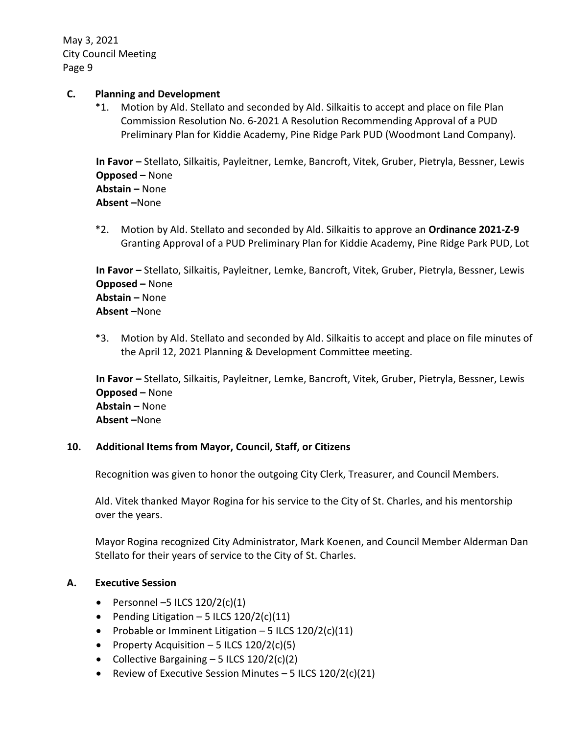#### **C. Planning and Development**

\*1. Motion by Ald. Stellato and seconded by Ald. Silkaitis to accept and place on file Plan Commission Resolution No. 6-2021 A Resolution Recommending Approval of a PUD Preliminary Plan for Kiddie Academy, Pine Ridge Park PUD (Woodmont Land Company).

**In Favor –** Stellato, Silkaitis, Payleitner, Lemke, Bancroft, Vitek, Gruber, Pietryla, Bessner, Lewis **Opposed –** None **Abstain –** None **Absent –**None

\*2. Motion by Ald. Stellato and seconded by Ald. Silkaitis to approve an **Ordinance 2021-Z-9** Granting Approval of a PUD Preliminary Plan for Kiddie Academy, Pine Ridge Park PUD, Lot

**In Favor –** Stellato, Silkaitis, Payleitner, Lemke, Bancroft, Vitek, Gruber, Pietryla, Bessner, Lewis **Opposed –** None **Abstain –** None **Absent –**None

\*3. Motion by Ald. Stellato and seconded by Ald. Silkaitis to accept and place on file minutes of the April 12, 2021 Planning & Development Committee meeting.

**In Favor –** Stellato, Silkaitis, Payleitner, Lemke, Bancroft, Vitek, Gruber, Pietryla, Bessner, Lewis **Opposed –** None **Abstain –** None **Absent –**None

#### **10. Additional Items from Mayor, Council, Staff, or Citizens**

Recognition was given to honor the outgoing City Clerk, Treasurer, and Council Members.

Ald. Vitek thanked Mayor Rogina for his service to the City of St. Charles, and his mentorship over the years.

Mayor Rogina recognized City Administrator, Mark Koenen, and Council Member Alderman Dan Stellato for their years of service to the City of St. Charles.

#### **A. Executive Session**

- Personnel  $-5$  ILCS  $120/2(c)(1)$
- Pending Litigation 5 ILCS  $120/2(c)(11)$
- Probable or Imminent Litigation 5 ILCS  $120/2(c)(11)$
- Property Acquisition 5 ILCS  $120/2(c)(5)$
- Collective Bargaining  $-5$  ILCS 120/2(c)(2)
- Review of Executive Session Minutes  $-5$  ILCS  $120/2(c)(21)$